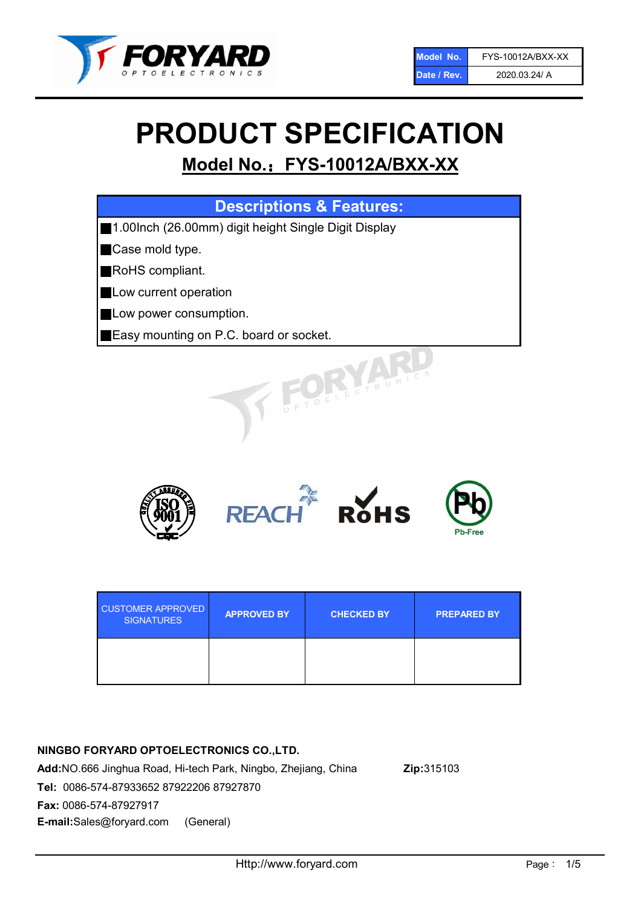

# PRODUCT SPECIFICATION

# Model No.: FYS-10012A/BXX-XX

| <b>Descriptions &amp; Features:</b>                  |
|------------------------------------------------------|
| 1.00lnch (26.00mm) digit height Single Digit Display |
| Case mold type.                                      |
| RoHS compliant.                                      |
| Low current operation                                |
| Low power consumption.                               |
| Easy mounting on P.C. board or socket.               |
| TOELECTRONIC.                                        |



| <b>CUSTOMER APPROVED</b><br><b>SIGNATURES</b> | <b>APPROVED BY</b> | <b>CHECKED BY</b> | <b>PREPARED BY</b> |
|-----------------------------------------------|--------------------|-------------------|--------------------|
|                                               |                    |                   |                    |

#### NINGBO FORYARD OPTOELECTRONICS CO.,LTD.

Add:NO.666 Jinghua Road, Hi-tech Park, Ningbo, Zhejiang, China Zip:315103 Tel: 0086-574-87933652 87922206 87927870 Fax: 0086-574-87927917 E-mail:Sales@foryard.com (General)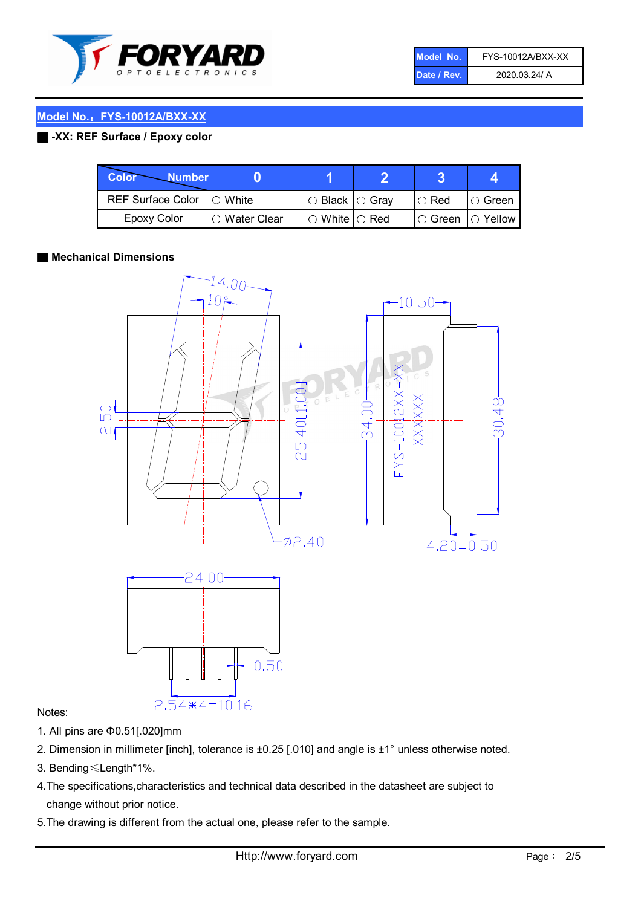

| Model No.   | FYS-10012A/BXX-XX |
|-------------|-------------------|
| Date / Rev. | 2020.03.24/ A     |

#### Model No.: FYS-10012A/BXX-XX

#### ■ -XX: REF Surface / Epoxy color

| Color<br><b>Number</b>   |                        |                           |               |                |
|--------------------------|------------------------|---------------------------|---------------|----------------|
| <b>REF Surface Color</b> | $\bigcap$ White        | ○ Black  ○ Gray           | $\circ$ Red   | ○ Green        |
| <b>Epoxy Color</b>       | $\bigcirc$ Water Clear | $\circ$ White $\circ$ Red | $\circ$ Green | $\circ$ Yellow |

#### ■ Mechanical Dimensions



#### Notes:

- 1. All pins are Φ0.51[.020]mm
- 2. Dimension in millimeter [inch], tolerance is ±0.25 [.010] and angle is ±1° unless otherwise noted.
- 3. Bending≤Length\*1%.
- 4.The specifications,characteristics and technical data described in the datasheet are subject to change without prior notice.
- 5.The drawing is different from the actual one, please refer to the sample.

 $2.54*4=10.16$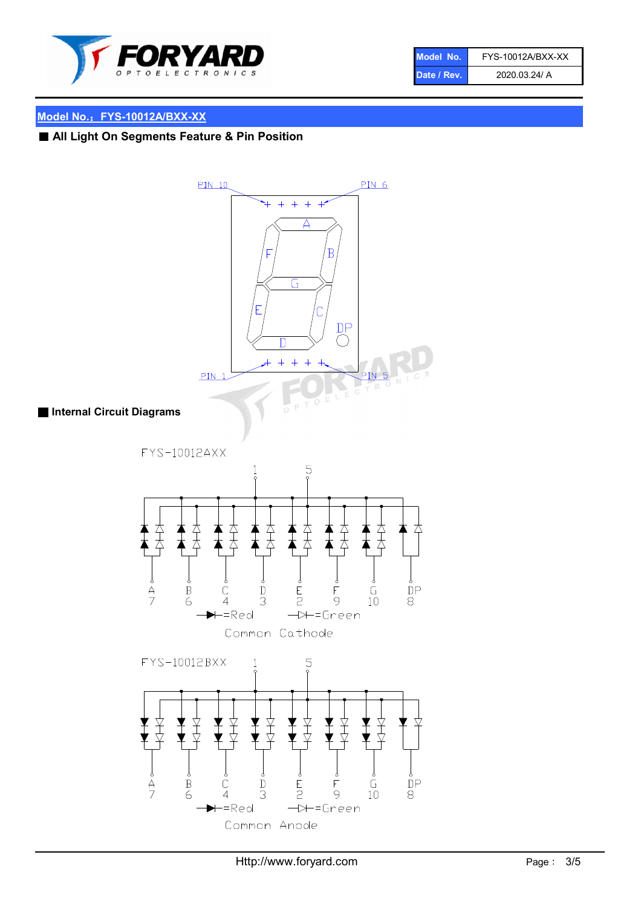

| Model No.   | FYS-10012A/BXX-XX |
|-------------|-------------------|
| Date / Rev. | 2020.03.24/ A     |

## Model No.: FYS-10012A/BXX-XX

## ■ All Light On Segments Feature & Pin Position



#### ■ Internal Circuit Diagrams

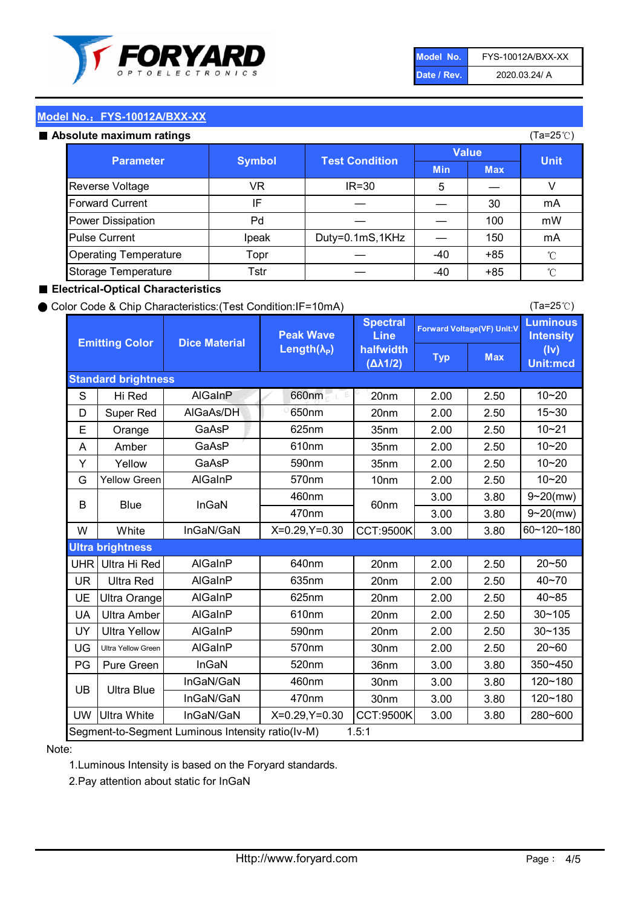

| Model No.   | FYS-10012A/BXX-XX |
|-------------|-------------------|
| Date / Rev. | 2020.03.24/ A     |

(Ta=25℃)

#### Model No.: FYS-10012A/BXX-XX

#### Absolute maximum ratings

| solute maximum ratings       |               |                       | (Ta=25℃)     |            |             |
|------------------------------|---------------|-----------------------|--------------|------------|-------------|
| <b>Parameter</b>             | <b>Symbol</b> | <b>Test Condition</b> | <b>Value</b> |            |             |
|                              |               |                       | <b>Min</b>   | <b>Max</b> | <b>Unit</b> |
| Reverse Voltage              | VR            | $IR = 30$             | 5            |            |             |
| <b>Forward Current</b>       | ΙF            |                       |              | 30         | mA          |
| Power Dissipation            | Pd            |                       |              | 100        | mW          |
| <b>Pulse Current</b>         | Ipeak         | Duty=0.1mS,1KHz       |              | 150        | mA          |
| <b>Operating Temperature</b> | Topr          |                       | $-40$        | $+85$      | °C          |
| Storage Temperature          | Tstr          |                       | $-40$        | $+85$      | °C          |

#### ■ Electrical-Optical Characteristics

#### ● Color Code & Chip Characteristics:(Test Condition:IF=10mA)

Typ Max S | Hi $\textsf{Red}$  | AlGaInP | 660nm LE 20nm | 2.00 | 2.50 D | Super Red | AIGaAs/DH | 650nm | 20nm | 2.00 | 2.50 E | Orange | GaAsP | 625nm | 35nm | 2.00 | 2.50 A | Amber | GaAsP | 610nm | 35nm | 2.00 | 2.50 Y | Yellow | GaAsP | 590nm | 35nm | 2.00 | 2.50 G Yellow Green AIGaInP | 570nm | 10nm | 2.00 | 2.50 3.00 3.80 3.00 3.80 W | White | InGaN/GaN | X=0.29,Y=0.30 |CCT:9500K| 3.00 | 3.80 UHR Ultra Hi Red | AlGaInP | 640nm | 20nm | 2.00 | 2.50 UR | Ultra Red | AlGaInP | 635nm | 20nm | 2.00 | 2.50 UE Ultra Orange | AIGaInP | 625nm | 20nm | 2.00 | 2.50 UA Ultra Amber | AIGaInP | 610nm | 20nm | 2.00 | 2.50  $UV$  Ultra Yellow  $\vert$  AlGaInP  $\vert$  590nm  $\vert$  20nm  $\vert$  2.00  $\vert$  2.50  $\text{UG}$  Ultra Yellow Green | AIGaInP | 570nm | 30nm | 2.00 | 2.50 PG Pure Green | InGaN | 520nm | 36nm | 3.00 | 3.80 30nm 3.00 3.80 30nm 3.00 3.80 UW |Ultra White | InGaN/GaN | X=0.29,Y=0.30 |CCT:9500K| 3.00 | 3.80 40~85 60~120~180 40~70 Segment-to-Segment Luminous Intensity ratio(Iv-M) 1.5:1 610nm 9~20(mw) 350~450 470nm 120~180 120~180 Ultra Blue InGaN/GaN InGaN/GaN 9~20(mw) 20~50 280~600 570nm | 30nm | 2.00 | 2.50 | 20~60 470nm 590nm InGaN/GaN B Blue I InGaN 570nm | 10nm | 2.00 | 2.50 | 10~20 30~105 30~135 460nm 520nm Ultra brightness **AlGaInP** AlGaInP 60nm AlGaInP 640nm Peak Wave Length $(\lambda_{\rm P})$ UB 460nm 635nm AlGaInP AlGaInP AlGaInP InGaN/GaN AlGaInP 10~20 Luminous **Intensity** (Iv) Unit:mcd AlGainP 660nm GaAsP GaAsP AlGaAs/DH **Spectral** Line halfwidth (∆λ1/2) 10~20 Standard brightness Forward Voltage(VF) Unit:V 15~30 10~20 625nm GaAsP 590nm **Emitting Color Dice Material** 10~21 610nm

#### Note:

1.Luminous Intensity is based on the Foryard standards.

2.Pay attention about static for InGaN